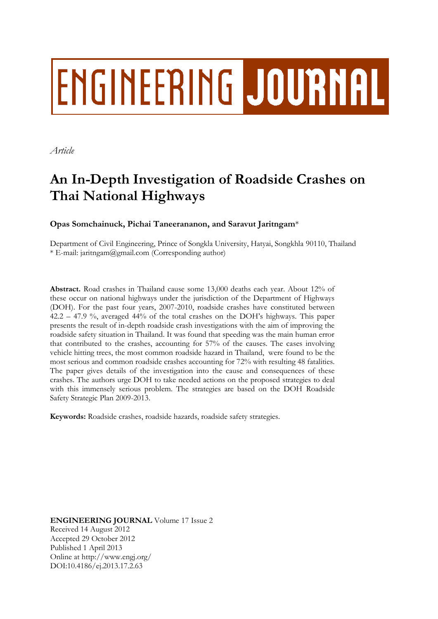# **ENGINEERING JOURNAL**

*Article*

# **An In-Depth Investigation of Roadside Crashes on Thai National Highways**

### **Opas Somchainuck, Pichai Taneerananon, and Saravut Jaritngam**\*

Department of Civil Engineering, Prince of Songkla University, Hatyai, Songkhla 90110, Thailand \* E-mail: jaritngam@gmail.com (Corresponding author)

**Abstract.** Road crashes in Thailand cause some 13,000 deaths each year. About 12% of these occur on national highways under the jurisdiction of the Department of Highways (DOH). For the past four years, 2007-2010, roadside crashes have constituted between 42.2 – 47.9 %, averaged 44% of the total crashes on the DOH's highways. This paper presents the result of in-depth roadside crash investigations with the aim of improving the roadside safety situation in Thailand. It was found that speeding was the main human error that contributed to the crashes, accounting for 57% of the causes. The cases involving vehicle hitting trees, the most common roadside hazard in Thailand, were found to be the most serious and common roadside crashes accounting for 72% with resulting 48 fatalities. The paper gives details of the investigation into the cause and consequences of these crashes. The authors urge DOH to take needed actions on the proposed strategies to deal with this immensely serious problem. The strategies are based on the DOH Roadside Safety Strategic Plan 2009-2013.

**Keywords:** Roadside crashes, roadside hazards, roadside safety strategies.

**ENGINEERING JOURNAL** Volume 17 Issue 2 Received 14 August 2012 Accepted 29 October 2012 Published 1 April 2013 Online at http://www.engj.org/ DOI:10.4186/ej.2013.17.2.63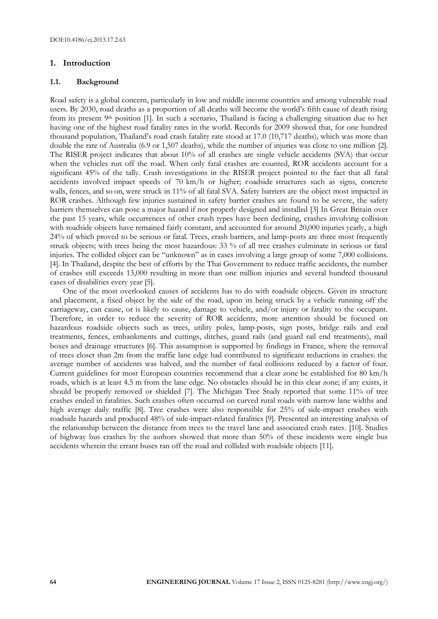#### **1. Introduction**

#### **1.1. Background**

Road safety is a global concern, particularly in low and middle income countries and among vulnerable road users. By 2030, road deaths as a proportion of all deaths will become the world's fifth cause of death rising from its present 9<sup>th</sup> position [1]. In such a scenario, Thailand is facing a challenging situation due to her having one of the highest road fatality rates in the world. Records for 2009 showed that, for one hundred thousand population, Thailand's road crash fatality rate stood at 17.0 (10,717 deaths), which was more than double the rate of Australia (6.9 or 1,507 deaths), while the number of injuries was close to one million [2]. The RISER project indicates that about 10% of all crashes are single vehicle accidents (SVA) that occur when the vehicles run off the road. When only fatal crashes are counted, ROR accidents account for a significant 45% of the tally. Crash investigations in the RISER project pointed to the fact that all fatal accidents involved impact speeds of 70 km/h or higher; roadside structures such as signs, concrete walls, fences, and so on, were struck in 11% of all fatal SVA. Safety barriers are the object most impacted in ROR crashes. Although few injuries sustained in safety barrier crashes are found to be severe, the safety barriers themselves can pose a major hazard if not properly designed and installed [3] In Great Britain over the past 15 years, while occurrences of other crash types have been declining, crashes involving collision with roadside objects have remained fairly constant, and accounted for around 20,000 injuries yearly, a high 24% of which proved to be serious or fatal. Trees, crash barriers, and lamp-posts are three most frequently struck objects; with trees being the most hazardous: 33 % of all tree crashes culminate in serious or fatal injuries. The collided object can be "unknown" as in cases involving a large group of some 7,000 collisions. [4]. In Thailand, despite the best of efforts by the Thai Government to reduce traffic accidents, the number of crashes still exceeds 13,000 resulting in more than one million injuries and several hundred thousand cases of disabilities every year [5].

One of the most overlooked causes of accidents has to do with roadside objects. Given its structure and placement, a fixed object by the side of the road, upon its being struck by a vehicle running off the carriageway, can cause, or is likely to cause, damage to vehicle, and/or injury or fatality to the occupant. Therefore, in order to reduce the severity of ROR accidents, more attention should be focused on hazardous roadside objects such as trees, utility poles, lamp-posts, sign posts, bridge rails and end treatments, fences, embankments and cuttings, ditches, guard rails (and guard rail end treatments), mail boxes and drainage structures [6]. This assumption is supported by findings in France, where the removal of trees closer than 2m from the traffic lane edge had contributed to significant reductions in crashes: the average number of accidents was halved, and the number of fatal collisions reduced by a factor of four. Current guidelines for most European countries recommend that a clear zone be established for 80 km/h roads, which is at least 4.5 m from the lane edge. No obstacles should be in this clear zone; if any exists, it should be properly removed or shielded [7]. The Michigan Tree Study reported that some 11% of tree crashes ended in fatalities. Such crashes often occurred on curved rural roads with narrow lane widths and high average daily traffic [8]. Tree crashes were also responsible for 25% of side-impact crashes with roadside hazards and produced 48% of side-impact-related fatalities [9]. Presented an interesting analysis of the relationship between the distance from trees to the travel lane and associated crash rates. [10]. Studies of highway bus crashes by the authors showed that more than 50% of these incidents were single bus accidents wherein the errant buses ran off the road and collided with roadside objects [11].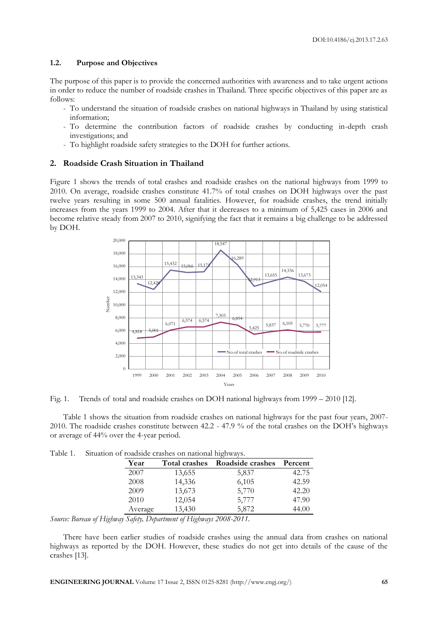#### **1.2. Purpose and Objectives**

The purpose of this paper is to provide the concerned authorities with awareness and to take urgent actions in order to reduce the number of roadside crashes in Thailand. Three specific objectives of this paper are as follows:

- To understand the situation of roadside crashes on national highways in Thailand by using statistical information;
- To determine the contribution factors of roadside crashes by conducting in-depth crash investigations; and
- To highlight roadside safety strategies to the DOH for further actions.

#### **2. Roadside Crash Situation in Thailand**

Figure 1 shows the trends of total crashes and roadside crashes on the national highways from 1999 to 2010. On average, roadside crashes constitute 41.7% of total crashes on DOH highways over the past twelve years resulting in some 500 annual fatalities. However, for roadside crashes, the trend initially increases from the years 1999 to 2004. After that it decreases to a minimum of 5,425 cases in 2006 and become relative steady from 2007 to 2010, signifying the fact that it remains a big challenge to be addressed by DOH.



Fig. 1. Trends of total and roadside crashes on DOH national highways from 1999 – 2010 [12].

Table 1 shows the situation from roadside crashes on national highways for the past four years, 2007- 2010. The roadside crashes constitute between 42.2 - 47.9 % of the total crashes on the DOH's highways or average of 44% over the 4-year period.

| Table 1. | Situation of roadside crashes on national highways. |  |  |  |  |  |  |  |
|----------|-----------------------------------------------------|--|--|--|--|--|--|--|
|----------|-----------------------------------------------------|--|--|--|--|--|--|--|

| Year    | <b>Total crashes</b> | Roadside crashes | Percent |
|---------|----------------------|------------------|---------|
| 2007    | 13,655               | 5,837            | 42.75   |
| 2008    | 14,336               | 6,105            | 42.59   |
| 2009    | 13,673               | 5,770            | 42.20   |
| 2010    | 12,054               | 5,777            | 47.90   |
| Average | 13,430               | 5,872            | 44.00   |

*Source: Bureau of Highway Safety, Department of Highways 2008-2011.*

There have been earlier studies of roadside crashes using the annual data from crashes on national highways as reported by the DOH. However, these studies do not get into details of the cause of the crashes [13].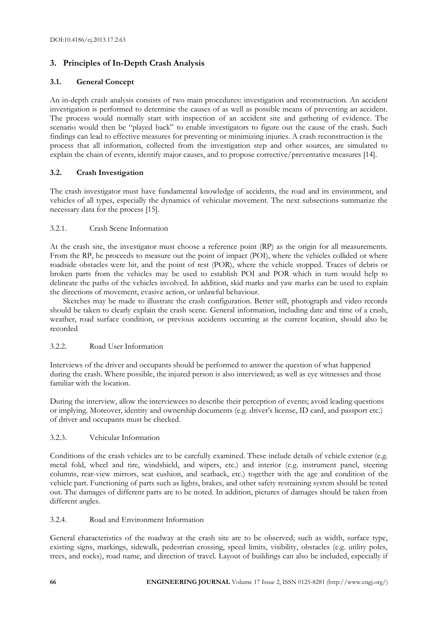# **3. Principles of In-Depth Crash Analysis**

#### **3.1. General Concept**

An in-depth crash analysis consists of two main procedures: investigation and reconstruction. An accident investigation is performed to determine the causes of as well as possible means of preventing an accident. The process would normally start with inspection of an accident site and gathering of evidence. The scenario would then be "played back" to enable investigators to figure out the cause of the crash. Such findings can lead to effective measures for preventing or minimizing injuries. A crash reconstruction is the process that all information, collected from the investigation step and other sources, are simulated to explain the chain of events, identify major causes, and to propose corrective/preventative measures [14].

#### **3.2. Crash Investigation**

The crash investigator must have fundamental knowledge of accidents, the road and its environment, and vehicles of all types, especially the dynamics of vehicular movement. The next subsections summarize the necessary data for the process [15].

#### 3.2.1. Crash Scene Information

At the crash site, the investigator must choose a reference point (RP) as the origin for all measurements. From the RP, he proceeds to measure out the point of impact (POI), where the vehicles collided or where roadside obstacles were hit, and the point of rest (POR), where the vehicle stopped. Traces of debris or broken parts from the vehicles may be used to establish POI and POR which in turn would help to delineate the paths of the vehicles involved. In addition, skid marks and yaw marks can be used to explain the directions of movement, evasive action, or unlawful behaviour.

Sketches may be made to illustrate the crash configuration. Better still, photograph and video records should be taken to clearly explain the crash scene. General information, including date and time of a crash, weather, road surface condition, or previous accidents occurring at the current location, should also be recorded

#### 3.2.2. Road User Information

Interviews of the driver and occupants should be performed to answer the question of what happened during the crash. Where possible, the injured person is also interviewed; as well as eye witnesses and those familiar with the location.

During the interview, allow the interviewees to describe their perception of events; avoid leading questions or implying. Moreover, identity and ownership documents (e.g. driver's license, ID card, and passport etc.) of driver and occupants must be checked.

#### 3.2.3. Vehicular Information

Conditions of the crash vehicles are to be carefully examined. These include details of vehicle exterior (e.g. metal fold, wheel and tire, windshield, and wipers, etc.) and interior (e.g. instrument panel, steering columns, rear-view mirrors, seat cushion, and seatback, etc.) together with the age and condition of the vehicle part. Functioning of parts such as lights, brakes, and other safety restraining system should be tested out. The damages of different parts are to be noted. In addition, pictures of damages should be taken from different angles.

#### 3.2.4. Road and Environment Information

General characteristics of the roadway at the crash site are to be observed; such as width, surface type, existing signs, markings, sidewalk, pedestrian crossing, speed limits, visibility, obstacles (e.g. utility poles, trees, and rocks), road name, and direction of travel. Layout of buildings can also be included, especially if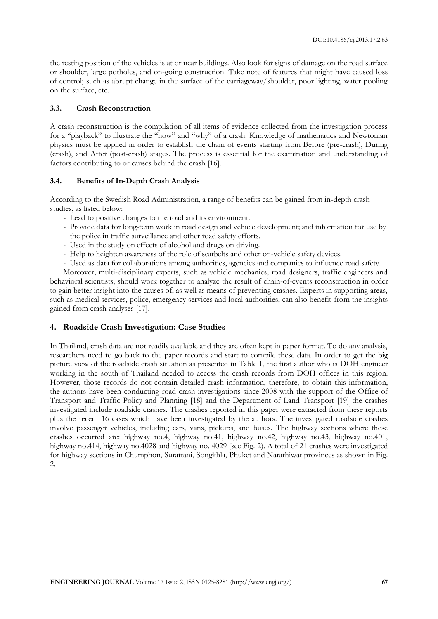the resting position of the vehicles is at or near buildings. Also look for signs of damage on the road surface or shoulder, large potholes, and on-going construction. Take note of features that might have caused loss of control; such as abrupt change in the surface of the carriageway/shoulder, poor lighting, water pooling on the surface, etc.

#### **3.3. Crash Reconstruction**

A crash reconstruction is the compilation of all items of evidence collected from the investigation process for a "playback" to illustrate the "how" and "why" of a crash. Knowledge of mathematics and Newtonian physics must be applied in order to establish the chain of events starting from Before (pre-crash), During (crash), and After (post-crash) stages. The process is essential for the examination and understanding of factors contributing to or causes behind the crash [16].

#### **3.4. Benefits of In-Depth Crash Analysis**

According to the Swedish Road Administration, a range of benefits can be gained from in-depth crash studies, as listed below:

- Lead to positive changes to the road and its environment.
- Provide data for long-term work in road design and vehicle development; and information for use by the police in traffic surveillance and other road safety efforts.
- Used in the study on effects of alcohol and drugs on driving.
- Help to heighten awareness of the role of seatbelts and other on-vehicle safety devices.
- Used as data for collaborations among authorities, agencies and companies to influence road safety.

Moreover, multi-disciplinary experts, such as vehicle mechanics, road designers, traffic engineers and behavioral scientists, should work together to analyze the result of chain-of-events reconstruction in order to gain better insight into the causes of, as well as means of preventing crashes. Experts in supporting areas, such as medical services, police, emergency services and local authorities, can also benefit from the insights gained from crash analyses [17].

#### **4. Roadside Crash Investigation: Case Studies**

In Thailand, crash data are not readily available and they are often kept in paper format. To do any analysis, researchers need to go back to the paper records and start to compile these data. In order to get the big picture view of the roadside crash situation as presented in Table 1, the first author who is DOH engineer working in the south of Thailand needed to access the crash records from DOH offices in this region. However, those records do not contain detailed crash information, therefore, to obtain this information, the authors have been conducting road crash investigations since 2008 with the support of the Office of Transport and Traffic Policy and Planning [18] and the Department of Land Transport [19] the crashes investigated include roadside crashes. The crashes reported in this paper were extracted from these reports plus the recent 16 cases which have been investigated by the authors. The investigated roadside crashes involve passenger vehicles, including cars, vans, pickups, and buses. The highway sections where these crashes occurred are: highway no.4, highway no.41, highway no.42, highway no.43, highway no.401, highway no.414, highway no.4028 and highway no. 4029 (see Fig. 2). A total of 21 crashes were investigated for highway sections in Chumphon, Surattani, Songkhla, Phuket and Narathiwat provinces as shown in Fig. 2.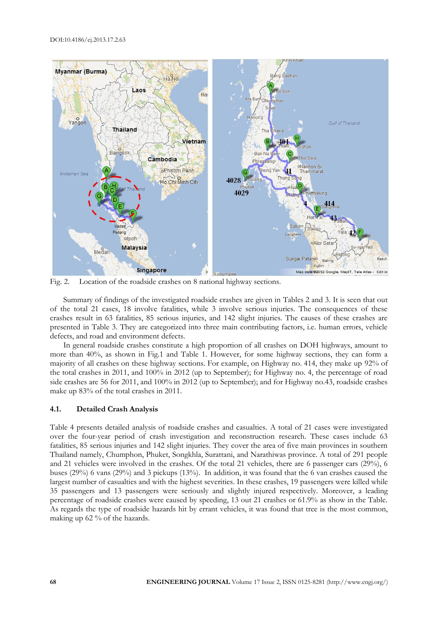

Fig. 2. Location of the roadside crashes on 8 national highway sections.

Summary of findings of the investigated roadside crashes are given in Tables 2 and 3. It is seen that out of the total 21 cases, 18 involve fatalities, while 3 involve serious injuries. The consequences of these crashes result in 63 fatalities, 85 serious injuries, and 142 slight injuries. The causes of these crashes are presented in Table 3. They are categorized into three main contributing factors, i.e. human errors, vehicle defects, and road and environment defects.

In general roadside crashes constitute a high proportion of all crashes on DOH highways, amount to more than 40%, as shown in Fig.1 and Table 1. However, for some highway sections, they can form a majority of all crashes on these highway sections. For example, on Highway no. 414, they make up 92% of the total crashes in 2011, and 100% in 2012 (up to September); for Highway no. 4, the percentage of road side crashes are 56 for 2011, and 100% in 2012 (up to September); and for Highway no.43, roadside crashes make up 83% of the total crashes in 2011.

#### **4.1. Detailed Crash Analysis**

Table 4 presents detailed analysis of roadside crashes and casualties. A total of 21 cases were investigated over the four-year period of crash investigation and reconstruction research. These cases include 63 fatalities, 85 serious injuries and 142 slight injuries. They cover the area of five main provinces in southern Thailand namely, Chumphon, Phuket, Songkhla, Surattani, and Narathiwas province. A total of 291 people and 21 vehicles were involved in the crashes. Of the total 21 vehicles, there are 6 passenger cars (29%), 6 buses (29%) 6 vans (29%) and 3 pickups (13%). In addition, it was found that the 6 van crashes caused the largest number of casualties and with the highest severities. In these crashes, 19 passengers were killed while 35 passengers and 13 passengers were seriously and slightly injured respectively. Moreover, a leading percentage of roadside crashes were caused by speeding, 13 out 21 crashes or 61.9% as show in the Table. As regards the type of roadside hazards hit by errant vehicles, it was found that tree is the most common, making up 62 % of the hazards.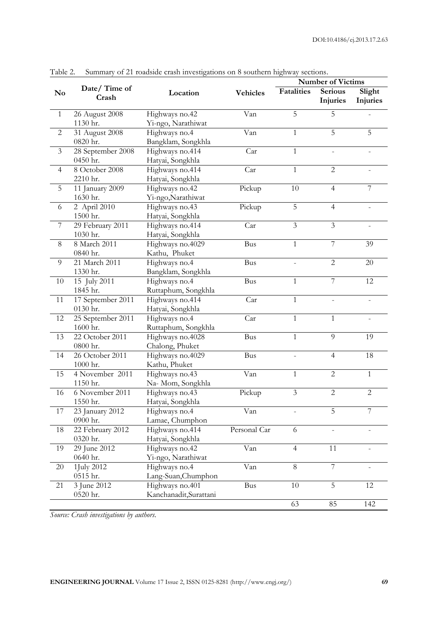| $1 \mu \nu \nu \nu$ | building of 21 fourblet clash hivesugations on 6 southern highway secuons. |                                 |                 |                | <b>Number of Victims</b> |                |
|---------------------|----------------------------------------------------------------------------|---------------------------------|-----------------|----------------|--------------------------|----------------|
| N <sub>0</sub>      | Date/Time of                                                               | Location                        | <b>Vehicles</b> | Fatalities     | <b>Serious</b>           | Slight         |
|                     | Crash                                                                      |                                 |                 |                | Injuries                 | Injuries       |
| $\mathbf{1}$        | 26 August 2008                                                             | Highways no.42                  | Van             | 5              | 5                        |                |
|                     | 1130 hr.                                                                   | Yi-ngo, Narathiwat              |                 |                |                          |                |
| $\sqrt{2}$          | 31 August 2008                                                             | Highways no.4                   | Van             | $\mathbf{1}$   | 5                        | 5              |
|                     | 0820 hr.                                                                   | Bangklam, Songkhla              |                 |                |                          |                |
| $\mathfrak{Z}$      | 28 September 2008                                                          | Highways no.414                 | Car             | $\mathbf{1}$   |                          |                |
|                     | 0450 hr.                                                                   | Hatyai, Songkhla                |                 |                |                          |                |
| $\overline{4}$      | 8 October 2008                                                             | Highways no.414                 | Car             | $\mathbf{1}$   | $\overline{2}$           |                |
|                     | 2210 hr.                                                                   | Hatyai, Songkhla                |                 |                |                          |                |
| $\mathbf 5$         | 11 January 2009                                                            | Highways no.42                  | Pickup          | 10             | $\overline{4}$           | $\overline{7}$ |
|                     | 1630 hr.                                                                   | Yi-ngo, Narathiwat              |                 |                |                          |                |
| 6                   | 2 April 2010                                                               | Highways no.43                  | Pickup          | 5              | $\overline{4}$           |                |
|                     | 1500 hr.                                                                   | Hatyai, Songkhla                |                 |                |                          |                |
| $\sqrt{ }$          | 29 February 2011                                                           | Highways no.414                 | Car             | $\mathfrak{Z}$ | $\mathfrak{Z}$           |                |
|                     | 1030 hr.                                                                   | Hatyai, Songkhla                |                 |                |                          |                |
| $\,8\,$             | 8 March 2011                                                               | Highways no.4029                | Bus             | $\mathbf{1}$   | 7                        | 39             |
|                     | 0840 hr.                                                                   | Kathu, Phuket                   |                 |                |                          |                |
| $\overline{9}$      | 21 March 2011                                                              | Highways no.4                   | Bus             |                | $\overline{2}$           | 20             |
|                     | 1330 hr.                                                                   | Bangklam, Songkhla              |                 |                |                          |                |
| 10                  | 15 July 2011                                                               | Highways no.4                   | <b>Bus</b>      | $\mathbf{1}$   | 7                        | 12             |
|                     | 1845 hr.                                                                   | Ruttaphum, Songkhla             |                 |                |                          |                |
| 11                  | 17 September 2011                                                          | Highways no.414                 | Car             | $\mathbf{1}$   |                          |                |
|                     | 0130 hr.                                                                   | Hatyai, Songkhla                |                 |                |                          |                |
| 12                  | 25 September 2011                                                          | Highways no.4                   | Car             | $\mathbf{1}$   | $\mathbf{1}$             |                |
|                     | 1600 hr.                                                                   | Ruttaphum, Songkhla             |                 |                | 9                        |                |
| 13                  | 22 October 2011                                                            | Highways no.4028                | <b>Bus</b>      | $\mathbf{1}$   |                          | 19             |
|                     | 0800 hr.<br>26 October 2011                                                | Chalong, Phuket                 |                 |                |                          |                |
| 14                  | 1000 hr.                                                                   | Highways no.4029                | Bus             |                | $\overline{4}$           | 18             |
| 15                  | 4 November 2011                                                            | Kathu, Phuket<br>Highways no.43 | Van             | $\mathbf{1}$   | $\overline{c}$           | $\mathbf{1}$   |
|                     | 1150 hr.                                                                   | Na- Mom, Songkhla               |                 |                |                          |                |
| 16                  | 6 November 2011                                                            | Highways no.43                  | Pickup          | 3              | $\overline{2}$           | $\overline{c}$ |
|                     | 1550 hr.                                                                   | Hatyai, Songkhla                |                 |                |                          |                |
| 17                  | 23 January 2012                                                            | Highways no.4                   | Van             |                | 5                        | 7              |
|                     | 0900 hr.                                                                   | Lamae, Chumphon                 |                 |                |                          |                |
| 18                  | 22 February 2012                                                           | Highways no.414                 | Personal Car    | 6              |                          |                |
|                     | 0320 hr.                                                                   | Hatyai, Songkhla                |                 |                |                          |                |
| 19                  | 29 June 2012                                                               | Highways no.42                  | Van             | $\overline{4}$ | 11                       |                |
|                     | 0640 hr.                                                                   | Yi-ngo, Narathiwat              |                 |                |                          |                |
| $20\,$              | 1July 2012                                                                 | Highways no.4                   | Van             | $8\,$          | $\overline{7}$           |                |
|                     | 0515 hr.                                                                   | Lang-Suan, Chumphon             |                 |                |                          |                |
| 21                  | 3 June 2012                                                                | Highways no.401                 | <b>Bus</b>      | 10             | $\mathbf 5$              | 12             |
|                     | 0520 hr.                                                                   | Kanchanadit, Surattani          |                 |                |                          |                |
|                     |                                                                            |                                 |                 | 63             | 85                       | 142            |

Table 2. Summary of 21 roadside crash investigations on 8 southern highway sections.

*Source: Crash investigations by authors.*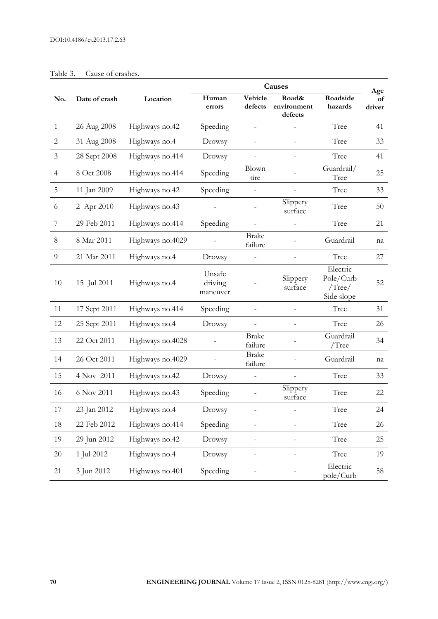|                |               |                  | Causes                        |                          |                                 |                                                     |                     |
|----------------|---------------|------------------|-------------------------------|--------------------------|---------------------------------|-----------------------------------------------------|---------------------|
| No.            | Date of crash | Location         | Human<br>errors               | Vehicle<br>defects       | Road&<br>environment<br>defects | Roadside<br>hazards                                 | Age<br>of<br>driver |
| $\mathbf{1}$   | 26 Aug 2008   | Highways no.42   | Speeding                      |                          |                                 | Tree                                                | 41                  |
| $\overline{2}$ | 31 Aug 2008   | Highways no.4    | Drowsy                        | $\overline{a}$           | $\overline{a}$                  | Tree                                                | 33                  |
| 3              | 28 Sept 2008  | Highways no.414  | Drowsy                        |                          | $\overline{a}$                  | Tree                                                | 41                  |
| $\overline{4}$ | 8 Oct 2008    | Highways no.414  | Speeding                      | <b>Blown</b><br>tire     |                                 | Guardrail/<br>Tree                                  | 25                  |
| 5              | 11 Jan 2009   | Highways no.42   | Speeding                      |                          |                                 | Tree                                                | 33                  |
| 6              | 2 Apr 2010    | Highways no.43   |                               |                          | Slippery<br>surface             | Tree                                                | 50                  |
| 7              | 29 Feb 2011   | Highways no.414  | Speeding                      | $\overline{a}$           |                                 | Tree                                                | 21                  |
| 8              | 8 Mar 2011    | Highways no.4029 |                               | <b>Brake</b><br>failure  |                                 | Guardrail                                           | na                  |
| $\overline{9}$ | 21 Mar 2011   | Highways no.4    | Drowsy                        |                          |                                 | Tree                                                | 27                  |
| 10             | 15 Jul 2011   | Highways no.4    | Unsafe<br>driving<br>maneuver |                          | Slippery<br>surface             | Electric<br>Pole/Curb<br>$/$ Tree $/$<br>Side slope | 52                  |
| 11             | 17 Sept 2011  | Highways no.414  | Speeding                      |                          |                                 | Tree                                                | 31                  |
| 12             | 25 Sept 2011  | Highways no.4    | Drowsy                        |                          | $\overline{\phantom{0}}$        | Tree                                                | 26                  |
| 13             | 22 Oct 2011   | Highways no.4028 |                               | <b>Brake</b><br>failure  |                                 | Guardrail<br>/Tree                                  | 34                  |
| 14             | 26 Oct 2011   | Highways no.4029 |                               | <b>Brake</b><br>failure  |                                 | Guardrail                                           | na                  |
| 15             | 4 Nov 2011    | Highways no.42   | Drowsy                        |                          |                                 | Tree                                                | 33                  |
| 16             | 6 Nov 2011    | Highways no.43   | Speeding                      |                          | Slippery<br>surface             | Tree                                                | 22                  |
| 17             | 23 Jan 2012   | Highways no.4    | Drowsy                        |                          |                                 | Tree                                                | 24                  |
| $18\,$         | 22 Feb 2012   | Highways no.414  | Speeding                      |                          |                                 | Tree                                                | 26                  |
| 19             | 29 Jun 2012   | Highways no.42   | Drowsy                        | $\overline{\phantom{0}}$ |                                 | Tree                                                | 25                  |
| 20             | 1 Jul 2012    | Highways no.4    | Drowsy                        | $\overline{\phantom{0}}$ | $\overline{\phantom{0}}$        | Tree                                                | 19                  |
| 21             | 3 Jun 2012    | Highways no.401  | Speeding                      |                          |                                 | Electric<br>pole/Curb                               | 58                  |

#### Table 3. Cause of crashes.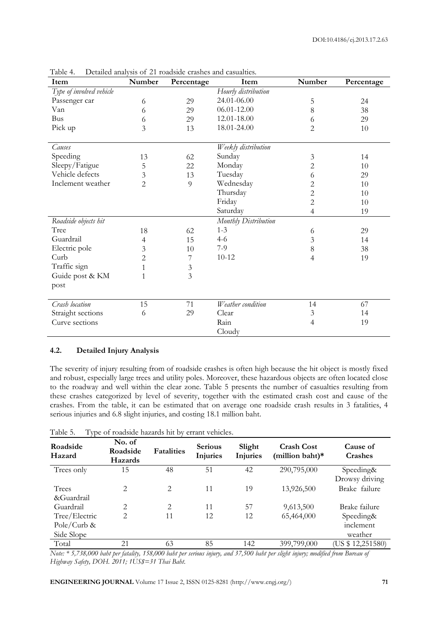| Item                     | Number         | Percentage     | Item                 | Number         | Percentage |
|--------------------------|----------------|----------------|----------------------|----------------|------------|
| Type of involved vehicle |                |                | Hourly distribution  |                |            |
| Passenger car            | 6              | 29             | 24.01-06.00          | 5              | 24         |
| Van                      | 6              | 29             | 06.01-12.00          | 8              | 38         |
| <b>Bus</b>               | 6              | 29             | 12.01-18.00          | 6              | 29         |
| Pick up                  | 3              | 13             | 18.01-24.00          | 2              | 10         |
| Causes                   |                |                | Weekly distribution  |                |            |
| Speeding                 | 13             | 62             | Sunday               | 3              | 14         |
| Sleepy/Fatigue           | 5              | 22             | Monday               | $\overline{c}$ | 10         |
| Vehicle defects          | 3              | 13             | Tuesday              | 6              | 29         |
| Inclement weather        | $\overline{c}$ | $\overline{Q}$ | Wednesday            | 2              | 10         |
|                          |                |                | Thursday             | $\overline{c}$ | 10         |
|                          |                |                | Friday               | $\overline{c}$ | 10         |
|                          |                |                | Saturday             | 4              | 19         |
| Roadside objects hit     |                |                | Monthly Distribution |                |            |
| Tree                     | 18             | 62             | $1 - 3$              | 6              | 29         |
| Guardrail                | 4              | 15             | $4-6$                | 3              | 14         |
| Electric pole            | 3              | 10             | $7-9$                | 8              | 38         |
| Curb                     | $\overline{c}$ | 7              | $10 - 12$            | 4              | 19         |
| Traffic sign             | 1              | $\mathfrak{Z}$ |                      |                |            |
| Guide post & KM          | 1              | 3              |                      |                |            |
| post                     |                |                |                      |                |            |
| Crash location           | 15             | 71             | Weather condition    | 14             | 67         |
| Straight sections        | 6              | 29             | Clear                | 3              | 14         |
| Curve sections           |                |                | Rain                 | 4              | 19         |
|                          |                |                | Cloudy               |                |            |

Table 4. Detailed analysis of 21 roadside crashes and casualties.

#### **4.2. Detailed Injury Analysis**

The severity of injury resulting from of roadside crashes is often high because the hit object is mostly fixed and robust, especially large trees and utility poles. Moreover, these hazardous objects are often located close to the roadway and well within the clear zone. Table 5 presents the number of casualties resulting from these crashes categorized by level of severity, together with the estimated crash cost and cause of the crashes. From the table, it can be estimated that on average one roadside crash results in 3 fatalities, 4 serious injuries and 6.8 slight injuries, and costing 18.1 million baht.

| . .<br>Roadside<br>Hazard | No. of<br>Roadside<br>Hazards | <b>Fatalities</b> | <b>Serious</b><br>Injuries | Slight<br><b>Injuries</b> | <b>Crash Cost</b><br>(million baht)* | Cause of<br>Crashes |
|---------------------------|-------------------------------|-------------------|----------------------------|---------------------------|--------------------------------------|---------------------|
| Trees only                | 15                            | 48                | 51                         | 42                        | 290,795,000                          | Speeding&           |
|                           |                               |                   |                            |                           |                                      | Drowsy driving      |
| Trees                     | 2                             | 2                 | 11                         | 19                        | 13,926,500                           | Brake failure       |
| &Guardrail                |                               |                   |                            |                           |                                      |                     |
| Guardrail                 | $\overline{2}$                | 2                 | 11                         | 57                        | 9,613,500                            | Brake failure       |
| Tree/Electric             | $\overline{2}$                | 11                | 12                         | 12                        | 65,464,000                           | Speeding&           |
| Pole/Curb &               |                               |                   |                            |                           |                                      | inclement           |
| Side Slope                |                               |                   |                            |                           |                                      | weather             |
| Total                     | 21                            | 63                | 85                         | 142                       | 399,799,000                          | (US \$ 12,251580)   |

Table 5. Type of roadside hazards hit by errant vehicles.

*Note: \* 5,738,000 baht per fatality, 158,000 baht per serious injury, and 37,500 baht per slight injury; modified from Bureau of Highway Safety, DOH. 2011; 1US\$=31 Thai Baht.*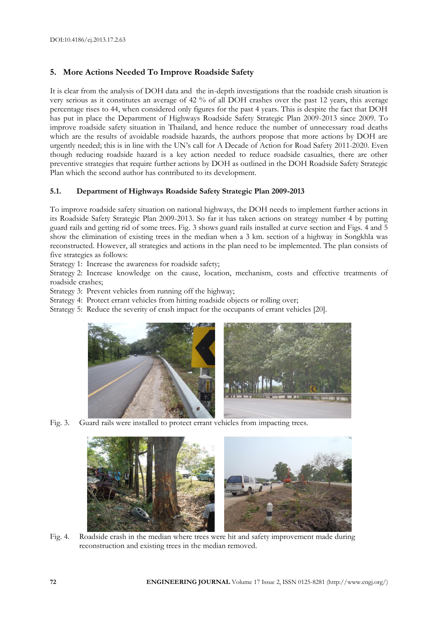# **5. More Actions Needed To Improve Roadside Safety**

It is clear from the analysis of DOH data and the in-depth investigations that the roadside crash situation is very serious as it constitutes an average of 42 % of all DOH crashes over the past 12 years, this average percentage rises to 44, when considered only figures for the past 4 years. This is despite the fact that DOH has put in place the Department of Highways Roadside Safety Strategic Plan 2009-2013 since 2009. To improve roadside safety situation in Thailand, and hence reduce the number of unnecessary road deaths which are the results of avoidable roadside hazards, the authors propose that more actions by DOH are urgently needed; this is in line with the UN's call for A Decade of Action for Road Safety 2011-2020. Even though reducing roadside hazard is a key action needed to reduce roadside casualties, there are other preventive strategies that require further actions by DOH as outlined in the DOH Roadside Safety Strategic Plan which the second author has contributed to its development.

#### **5.1. Department of Highways Roadside Safety Strategic Plan 2009-2013**

To improve roadside safety situation on national highways, the DOH needs to implement further actions in its Roadside Safety Strategic Plan 2009-2013. So far it has taken actions on strategy number 4 by putting guard rails and getting rid of some trees. Fig. 3 shows guard rails installed at curve section and Figs. 4 and 5 show the elimination of existing trees in the median when a 3 km. section of a highway in Songkhla was reconstructed. However, all strategies and actions in the plan need to be implemented. The plan consists of five strategies as follows:

Strategy 1: Increase the awareness for roadside safety;

Strategy 2: Increase knowledge on the cause, location, mechanism, costs and effective treatments of roadside crashes;

Strategy 3: Prevent vehicles from running off the highway;

Strategy 4: Protect errant vehicles from hitting roadside objects or rolling over;

Strategy 5: Reduce the severity of crash impact for the occupants of errant vehicles [20].



Fig. 3. Guard rails were installed to protect errant vehicles from impacting trees.



Fig. 4. Roadside crash in the median where trees were hit and safety improvement made during reconstruction and existing trees in the median removed.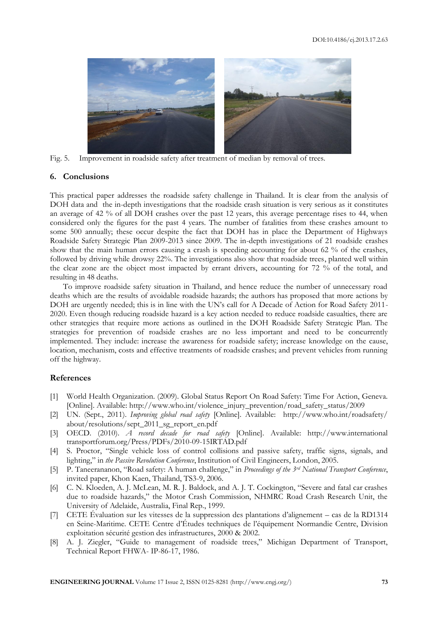

Fig. 5. Improvement in roadside safety after treatment of median by removal of trees.

#### **6. Conclusions**

This practical paper addresses the roadside safety challenge in Thailand. It is clear from the analysis of DOH data and the in-depth investigations that the roadside crash situation is very serious as it constitutes an average of 42 % of all DOH crashes over the past 12 years, this average percentage rises to 44, when considered only the figures for the past 4 years. The number of fatalities from these crashes amount to some 500 annually; these occur despite the fact that DOH has in place the Department of Highways Roadside Safety Strategic Plan 2009-2013 since 2009. The in-depth investigations of 21 roadside crashes show that the main human errors causing a crash is speeding accounting for about 62 % of the crashes, followed by driving while drowsy 22%. The investigations also show that roadside trees, planted well within the clear zone are the object most impacted by errant drivers, accounting for 72 % of the total, and resulting in 48 deaths.

To improve roadside safety situation in Thailand, and hence reduce the number of unnecessary road deaths which are the results of avoidable roadside hazards; the authors has proposed that more actions by DOH are urgently needed; this is in line with the UN's call for A Decade of Action for Road Safety 2011- 2020. Even though reducing roadside hazard is a key action needed to reduce roadside casualties, there are other strategies that require more actions as outlined in the DOH Roadside Safety Strategic Plan. The strategies for prevention of roadside crashes are no less important and need to be concurrently implemented. They include: increase the awareness for roadside safety; increase knowledge on the cause, location, mechanism, costs and effective treatments of roadside crashes; and prevent vehicles from running off the highway.

#### **References**

- [1] World Health Organization. (2009). Global Status Report On Road Safety: Time For Action, Geneva. [Online]. Available: http://www.who.int/violence\_injury\_prevention/road\_safety\_status/2009
- [2] UN. (Sept., 2011). *Improving global road safety* [Online]. Available: http://www.who.int/roadsafety/ about/resolutions/sept\_2011\_sg\_report\_en.pdf
- [3] OECD. (2010). *A record decade for road safety* [Online]. Available: http://www.international transportforum.org/Press/PDFs/2010-09-15IRTAD.pdf
- [4] S. Proctor, "Single vehicle loss of control collisions and passive safety, traffic signs, signals, and lighting," in *the Passive Revolution Conference*, Institution of Civil Engineers, London, 2005.
- [5] P. Taneerananon, "Road safety: A human challenge," in *Proceedings of the 3rd National Transport Conference*, invited paper, Khon Kaen, Thailand, TS3-9, 2006.
- [6] C. N. Kloeden, A. J. McLean, M. R. J. Baldock, and A. J. T. Cockington, "Severe and fatal car crashes due to roadside hazards," the Motor Crash Commission, NHMRC Road Crash Research Unit, the University of Adelaide, Australia, Final Rep., 1999.
- [7] CETE Évaluation sur les vitesses de la suppression des plantations d'alignement cas de la RD1314 en Seine-Maritime. CETE Centre d'Études techniques de l'équipement Normandie Centre, Division exploitation sécurité gestion des infrastructures, 2000 & 2002.
- [8] A. J. Ziegler, "Guide to management of roadside trees," Michigan Department of Transport, Technical Report FHWA- IP-86-17, 1986.